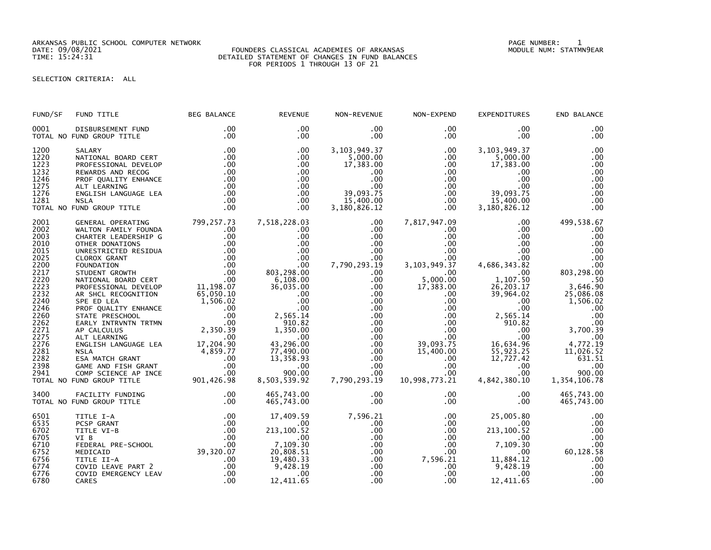ARKANSAS PUBLIC SCHOOL COMPUTER NETWORK PAGE NUMBER: 1

## DATE: 09/08/2021 FOUNDERS CLASSICAL ACADEMIES OF ARKANSAS MODULE NUM: STATMN9EAR TIME: 15:24:31 DETAILED STATEMENT OF CHANGES IN FUND BALANCES FOR PERIODS 1 THROUGH 13 OF 21

# SELECTION CRITERIA: ALL

| FUND/SF              | FUND TITLE                                                            | <b>BEG BALANCE</b>                                                                                                                                                                                                                              | <b>REVENUE</b>                | NON-REVENUE                            | NON-EXPEND                       | <b>EXPENDITURES</b>                    | END BALANCE            |
|----------------------|-----------------------------------------------------------------------|-------------------------------------------------------------------------------------------------------------------------------------------------------------------------------------------------------------------------------------------------|-------------------------------|----------------------------------------|----------------------------------|----------------------------------------|------------------------|
| 0001                 | DISBURSEMENT FUND                                                     | .00                                                                                                                                                                                                                                             | .00                           | .00                                    | .00                              | $.00 \,$                               | .00                    |
|                      | TOTAL NO FUND GROUP TITLE                                             | .00                                                                                                                                                                                                                                             | $.00 \times$                  | $.00 \,$                               | $.00 \,$                         | $.00 \,$                               | .00                    |
| 1200                 | SALARY                                                                | .00                                                                                                                                                                                                                                             | .00                           | 3, 103, 949. 37                        | $.00 \,$                         | 3,103,949.37                           | .00                    |
| 1220                 | NATIONAL BOARD CERT                                                   | .00                                                                                                                                                                                                                                             | $.00 \,$                      | 5,000.00                               | $.00 \,$                         | 5,000.00                               | .00                    |
| 1223                 | PROFESSIONAL DEVELOP                                                  | .00                                                                                                                                                                                                                                             | .00                           | 17,383.00                              | $.00 \,$                         | 17,383.00                              | .00                    |
| 1232                 | REWARDS AND RECOG                                                     | .00                                                                                                                                                                                                                                             | $.00 \,$                      | .00.                                   | $.00 \,$                         | .00                                    | .00                    |
| 1246                 | PROF QUALITY ENHANCE                                                  | .00                                                                                                                                                                                                                                             | $.00 \,$                      | .00                                    | $.00\,$                          | $.00 \,$                               | .00                    |
| 1275                 | ALT LEARNING                                                          | .00                                                                                                                                                                                                                                             | $.00 \times$                  | .00                                    | .00                              | .00                                    | .00                    |
| 1276<br>1281         | ENGLISH LANGUAGE LEA<br><b>NSLA</b><br>TOTAL NO FUND GROUP TITLE      | .00<br>.00<br>.00                                                                                                                                                                                                                               | $.00 \,$<br>$.00 \,$<br>.00.  | 39,093.75<br>15,400.00<br>3,180,826.12 | $.00 \,$<br>$.00 \,$<br>$.00 \,$ | 39,093.75<br>15,400.00<br>3,180,826.12 | .00<br>.00<br>.00      |
| 2001                 | GENERAL OPERATING                                                     |                                                                                                                                                                                                                                                 | 7,518,228.03                  | $.00 \,$                               | 7,817,947.09                     | $.00 \ \,$                             | 499,538.67             |
| 2002                 | WALTON FAMILY FOUNDA                                                  |                                                                                                                                                                                                                                                 | $.00 \,$                      | $.00 \,$                               | $.00 \,$                         | $.00 \,$                               | .00                    |
| 2003                 | CHARTER LEADERSHIP G                                                  |                                                                                                                                                                                                                                                 | .00                           | $.00 \,$                               | $.00 \,$                         | $.00 \,$                               | .00                    |
| 2010                 | OTHER DONATIONS                                                       |                                                                                                                                                                                                                                                 | .00                           | $.00 \,$                               | $.00 \,$                         | .00                                    | .00                    |
| 2015                 | UNRESTRICTED RESIDUA                                                  |                                                                                                                                                                                                                                                 | .00                           | $.00 \,$                               | $.00 \,$                         | $.00 \,$                               | .00                    |
| 2025                 | CLOROX GRANT                                                          |                                                                                                                                                                                                                                                 | .00                           | .00                                    | .00                              | $.00 \,$                               | .00                    |
| 2200                 | FOUNDATION                                                            |                                                                                                                                                                                                                                                 | .00                           | 7,790,293.19                           | 3, 103, 949. 37                  | 4,686,343.82                           | .00                    |
| 2217<br>2220         | STUDENT GROWTH<br>NATIONAL BOARD CERT                                 | 00<br>00 .<br>.00 .<br>.rt                                                                                                                                                                                                                      | 803,298.00<br>6,108.00        | .00.<br>$.00 \,$                       | $.00 \,$<br>5,000.00             | 00 .<br>1,107.50                       | 803,298.00<br>3,646.90 |
| 2223<br>2232         | PROFESSIONAL DEVELOP<br>AR SHCL RECOGNITION                           | $\begin{array}{c} 11,198.07\ 65,050.10\ 1,506.02\ 0 \end{array}$                                                                                                                                                                                | 36,035.00<br>.00              | $.00 \,$<br>$.00 \,$                   | 17,383.00<br>$.00 \,$            | 26, 203.17<br>39,964.02                | 25,086.08              |
| 2240                 | SPE ED LEA                                                            | $\frac{0}{0}$ .                                                                                                                                                                                                                                 | .00                           | $.00 \,$                               | .00                              | $.00 \cdot$                            | 1,506.02               |
| 2246                 | PROF QUALITY ENHANCE                                                  |                                                                                                                                                                                                                                                 | $.00 \times$                  | $.00 \,$                               | $.00\,$                          | $.00 \,$                               | .00                    |
| 2260                 | STATE PRESCHOOL                                                       | .00                                                                                                                                                                                                                                             | 2,565.14                      | .00                                    | .00                              | 2,565.14                               | .00                    |
| 2262                 | EARLY INTRVNTN TRTMN                                                  | $\overline{\phantom{0}}$ .00                                                                                                                                                                                                                    | 910.82                        | $.00 \,$                               | $.00\,$                          | 910.82                                 | .00                    |
| 2271                 | AP CALCULUS                                                           | 2,350.39                                                                                                                                                                                                                                        | 1,350.00                      | $.00 \,$                               | .00                              | .00                                    | 3,700.39               |
| 2275<br>2276         | ALT LEARNING<br>ENGLISH LANGUAGE LEA 17,204.90                        | .00                                                                                                                                                                                                                                             | .00<br>43,296.00              | $.00 \,$<br>.00                        | .00 <sub>1</sub><br>39,093.75    | $.00 \,$<br>16,634.96                  | $00$<br>4,772.19       |
| 2281<br>2282         | <b>NSLA</b>                                                           | $4,859.77$<br>00<br>.00<br>.00                                                                                                                                                                                                                  | 77,490.00<br>13,358.93        | .00<br>$.00 \,$                        | 15,400.00<br>$.00 \,$            | 55,923.25<br>12,727.42                 | 11,026.52<br>631.51    |
| 2398<br>2941         | NSLA<br>ESA MATCH GRANT<br>GAME AND FISH GRANT<br>ALL CATENCE AP INCE | .00                                                                                                                                                                                                                                             | $.00 \,$<br>900.00            | $.00 \,$<br>$.00 \,$                   | .00<br>.00                       | $.00 \,$<br>$.00 \,$                   | .00<br>900.00          |
|                      | TOTAL NO FUND GROUP TITLE                                             | 901,426.98                                                                                                                                                                                                                                      | 8,503,539.92                  | 7,790,293.19                           | 10,998,773.21                    | 4,842,380.10                           | 1,354,106.78           |
| 3400                 | FACILITY FUNDING                                                      | .00                                                                                                                                                                                                                                             | 465,743.00                    | $.00 \,$                               | $.00 \,$                         | $.00 \,$                               | 465,743.00             |
|                      | TOTAL NO FUND GROUP TITLE                                             | .00                                                                                                                                                                                                                                             | 465,743.00                    | .00                                    | $.00 \,$                         | $.00 \,$                               | 465,743.00             |
| 6501                 | TITLE I-A                                                             | .00                                                                                                                                                                                                                                             | 17,409.59                     | 7,596.21                               | $.00 \cdot$                      | 25,005.80                              | .00                    |
| 6535<br>6702<br>6705 | PCSP GRANT<br>TITLE VI-B<br>VI B                                      | .00<br>$\begin{array}{r} .00\ 0.00\ 0.00\ 0.00\ 0.00\ 0.00\ 0.00\ 0.00\ 0.00\ 0.00\ 0.00\ 0.00\ 0.00\ 0.00\ 0.00\ 0.00\ 0.00\ 0.00\ 0.00\ 0.00\ 0.00\ 0.00\ 0.00\ 0.00\ 0.00\ 0.00\ 0.00\ 0.00\ 0.00\ 0.00\ 0.00\ 0.00\ 0.00\ 0.00\ 0.00\ 0.00$ | $.00 \,$<br>213,100.52<br>.00 | .00.<br>.00<br>.00                     | $.00 \,$<br>$.00 \,$<br>$.00 \,$ | $.00 \,$<br>213, 100.52<br>$.00 \,$    | .00<br>.00<br>.00      |
| 6710                 | FEDERAL PRE-SCHOOL                                                    |                                                                                                                                                                                                                                                 | 7,109.30                      | $.00 \,$                               | $.00 \,$                         | 7,109.30                               | .00                    |
| 6752                 | MEDICAID                                                              |                                                                                                                                                                                                                                                 | 20,808.51                     | .00                                    | $.00 \,$                         | $.00 \,$                               | 60,128.58              |
| 6756                 | TITLE II-A                                                            |                                                                                                                                                                                                                                                 | 19,480.33                     | $.00 \,$                               | 7,596.21                         | 11,884.12                              | .00                    |
| 6774                 | COVID LEAVE PART 2                                                    |                                                                                                                                                                                                                                                 | 9,428.19                      | $.00 \,$                               | $.00\,$                          | 9,428.19                               | .00                    |
| 6776                 | COVID EMERGENCY LEAV                                                  | .00                                                                                                                                                                                                                                             | .00                           | $.00 \,$                               | $.00 \,$                         | $.00 \,$                               | .00                    |
| 6780                 | <b>CARES</b>                                                          |                                                                                                                                                                                                                                                 | 12,411.65                     | $.00 \,$                               | $.00 \,$                         | 12,411.65                              | .00                    |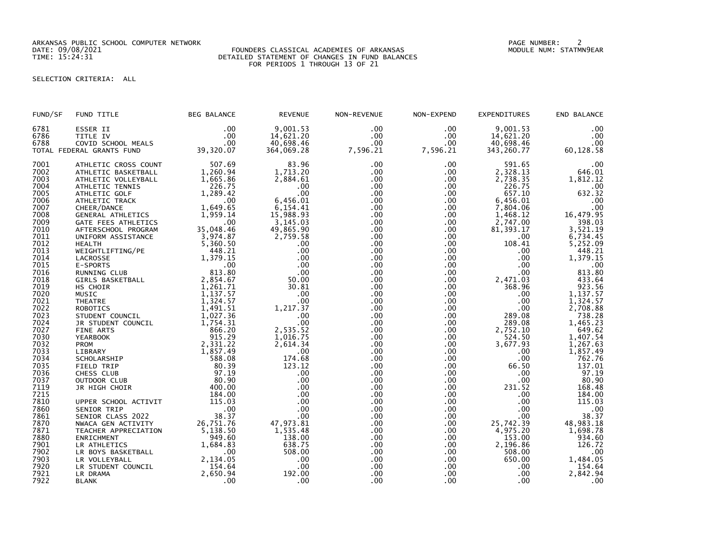ARKANSAS PUBLIC SCHOOL COMPUTER NETWORK PAGE NUMBER: 2

## DATE: 09/08/2021 FOUNDERS CLASSICAL ACADEMIES OF ARKANSAS MODULE NUM: STATMN9EAR TIME: 15:24:31 DETAILED STATEMENT OF CHANGES IN FUND BALANCES FOR PERIODS 1 THROUGH 13 OF 21

# SELECTION CRITERIA: ALL

| FUND/SF      | FUND TITLE                     | <b>BEG BALANCE</b>   | <b>REVENUE</b>  | NON-REVENUE | NON-EXPEND       | <b>EXPENDITURES</b> | END BALANCE                                  |
|--------------|--------------------------------|----------------------|-----------------|-------------|------------------|---------------------|----------------------------------------------|
| 6781         | ESSER II                       | .00                  | 9,001.53        | .00         | .00.             | 9,001.53            | .00                                          |
| 6786         | TITLE IV                       | .00                  | 14,621.20       | .00         | $.00 \,$         | 14,621.20           | .00                                          |
| 6788         | COVID SCHOOL MEALS             | .00                  | 40,698.46       | .00         | $.00 \,$         | 40,698.46           | .00                                          |
|              | TOTAL FEDERAL GRANTS FUND      | 39,320.07            | 364,069.28      | 7,596.21    | 7,596.21         | 343,260.77          | 60,128.58                                    |
| 7001         | ATHLETIC CROSS COUNT           | 507.69               | 83.96           | .00         | $.00 \,$         | 591.65              | .00                                          |
| 7002         | ATHLETIC BASKETBALL            | 1,260.94             | 1,713.20        | .00         | $.00 \,$         | 2,328.13            | 646.01                                       |
| 7003         | ATHLETIC VOLLEYBALL            | 1,665.86             | 2,884.61        | .00         | .00              | 2,738.35            | 1,812.12                                     |
| 7004         | ATHLETIC TENNIS                | 226.75               | .00             | .00         | .00              | 226.75              | .00                                          |
| 7005         | ATHLETIC GOLF                  | 1,289.42             | .00             | .00         | .00              | 657.10              | 632.32                                       |
| 7006         | ATHLETIC TRACK                 | .00                  | 6,456.01        | .00         | $.00 \cdot$      | 6,456.01            | .00                                          |
| 7007         | CHEER/DANCE                    | 1,649.65             | 6,154.41        | .00         | .00              | 7,804.06            | .00                                          |
| 7008         | GENERAL ATHLETICS              | 1.959.14             | 15,988.93       | .00         | .00              | 1,468.12            | 16, 479.95<br>398.03                         |
| 7009         | GATE FEES ATHLETICS            | .00                  | 3,145.03        | .00         | $.00 \times$     | 2,747.00            |                                              |
| 7010         | AFTERSCHOOL PROGRAM            | 35,048.46            | 49,865.90       | .00         | $.00 \,$         | 81, 393.17          | 3,521.19                                     |
| 7011         | UNIFORM ASSISTANCE             | 3,974.87             | 2,759.58        | .00         | $.00 \,$         | .00.                | $6,734.45$<br>5,252.09                       |
| 7012         | <b>HEALTH</b>                  | 5,360.50             | .00             | .00         | .00              | 108.41              |                                              |
| 7013         | WEIGHTLIFTING/PE               | 448.21               | .00             | .00         | $.00 \,$         | .00                 | 448.21                                       |
| 7014         | LACROSSE                       | 1,379.15             | .00             | .00         | .00              | .00                 | 1,379.15                                     |
| 7015         | E-SPORTS                       | .00                  | .00             | .00         | .00              | $.00 \,$            | .00                                          |
| 7016         | RUNNING CLUB                   | 813.80               | .00             | .00         | .00              | .00                 | 813.80                                       |
| 7018         | <b>GIRLS BASKETBALL</b>        | 2,854.67             | 50.00           | .00         | $.00 \,$         | 2,471.03            | 433.64                                       |
| 7019         | HS CHOIR                       | 1,261.71             | 30.81           | .00         | $.00 \,$         | 368.96              | 923.56                                       |
| 7020         | MUSIC                          | 1,137.57             | .00             | .00         | $.00 \times$     | .00                 | 1,137.57                                     |
| 7021         | <b>THEATRE</b>                 | 1,324.57             | .00.            | .00         | .00              | $.00 \,$            | 1,324.57                                     |
| 7022         | <b>ROBOTICS</b>                | 1,491.51             | 1,217.37        | .00         | $.00 \,$         | $.00 \,$            | 2,708.88                                     |
| 7023<br>7024 | STUDENT COUNCIL                | 1,027.36<br>1,754.31 | .00             | .00         | $.00 \,$         | 289.08              | 738.28                                       |
| 7027         | JR STUDENT COUNCIL             | 866.20               | .00<br>2,535.52 | .00<br>.00  | .00<br>$.00 \,$  | 289.08              | 1,465.23<br>649.62                           |
| 7030         | FINE ARTS                      | 915.29               | 1,016.75        | .00         | .00              | 2,752.10<br>524.50  | 1,407.54                                     |
| 7032         | <b>YEARBOOK</b><br><b>PROM</b> | 2,331.22             | 2,614.34        | .00         | $.00 \,$         | 3,677.93            | 1,267.63                                     |
| 7033         | LIBRARY                        | 1,857.49             | .00             | .00         | $.00 \,$         | .00                 | 1,857.49                                     |
| 7034         | SCHOLARSHIP                    | 588.08               | 174.68          | .00         | $.00 \,$         | .00                 | 762.76                                       |
| 7035         | FIELD TRIP                     | 80.39                | 123.12          | .00         | .00              | 66.50               | 137.01                                       |
| 7036         | CHESS CLUB                     | 97.19                | .00             | .00         | .00              | .00.                | 97.19                                        |
| 7037         | OUTDOOR CLUB                   | 80.90                | .00             | .00         | .00.             | .00                 | 80.90                                        |
| 7119         | JR HIGH CHOIR                  | 400.00               | .00             | .00         | .00              | 231.52              | 168.48                                       |
| 7215         |                                | 184.00               | .00             | .00         | $.00 \times$     | $.00 \,$            | 184.00                                       |
| 7810         | UPPER SCHOOL ACTIVIT           | 115.03               | .00             | .00         | $.00 \,$         | .00                 | 115.03                                       |
| 7860         | SENIOR TRIP                    | .00                  | .00             | .00         | $.00 \,$         | .00                 |                                              |
| 7861         | SENIOR CLASS 2022              | 38.37                | .00             | .00         | $.00 \times$     | .00 <sub>1</sub>    | $\begin{array}{r} 0.00 \\ 38.37 \end{array}$ |
| 7870         | NWACA GEN ACTIVITY             | 26,751.76            | 47,973.81       | .00         | $.00 \,$         | 25,742.39           | 48,983.18                                    |
| 7871         | TEACHER APPRECIATION           | 5,138.50             | 1,535.48        | .00         | .00              | 4,975.20            | 1,698.78                                     |
| 7880         | ENRICHMENT                     | 949.60               | 138.00          | .00         | $.00 \,$         | 153.00              | 934.60                                       |
| 7901         | LR ATHLETICS                   | 1,684.83             | 638.75          | .00         | .00 <sub>1</sub> | 2,196.86            | 126.72                                       |
| 7902         | LR BOYS BASKETBALL             | .00                  | 508.00          | .00         | .00              | 508.00              | .00                                          |
| 7903         | LR VOLLEYBALL                  | 2,134.05             | .00             | .00         | $.00 \,$         | 650.00              | 1,484.05                                     |
| 7920         | LR STUDENT COUNCIL             | 154.64               | .00             | .00         | $.00 \,$         | .00                 | 154.64                                       |
| 7921         | LR DRAMA                       | 2,650.94             | 192.00          | .00         | $.00 \,$         | .00                 | 2,842.94                                     |
| 7922         | <b>BLANK</b>                   | .00                  | .00             | .00         | $.00 \,$         | .00                 | .00                                          |